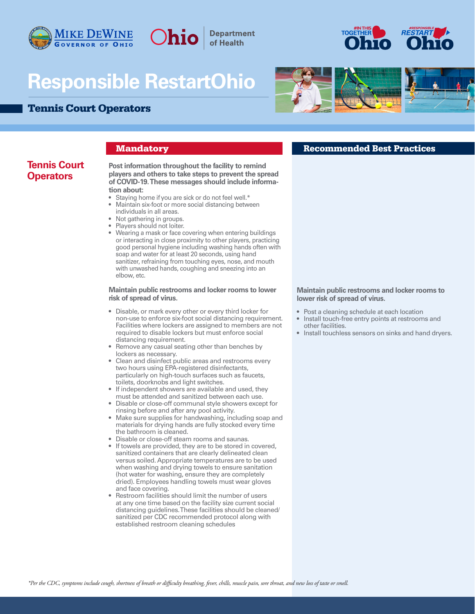

# **Responsible RestartOhio**

# Tennis Court Operators





# **Tennis Court Operators**

### **players and others to take steps to prevent the spread of COVID-19. These messages should include informa-**

**tion about:**

- Staying home if you are sick or do not feel well.\*
- Maintain six-foot or more social distancing between individuals in all areas.

**Post information throughout the facility to remind** 

**Department** of Health

- Not gathering in groups.
- Players should not loiter.
- Wearing a mask or face covering when entering buildings or interacting in close proximity to other players, practicing good personal hygiene including washing hands often with soap and water for at least 20 seconds, using hand sanitizer, refraining from touching eyes, nose, and mouth with unwashed hands, coughing and sneezing into an elbow, etc.

### **Maintain public restrooms and locker rooms to lower risk of spread of virus.**

- Disable, or mark every other or every third locker for non-use to enforce six-foot social distancing requirement. Facilities where lockers are assigned to members are not required to disable lockers but must enforce social distancing requirement.
- Remove any casual seating other than benches by lockers as necessary.
- Clean and disinfect public areas and restrooms every two hours using EPA-registered disinfectants, particularly on high-touch surfaces such as faucets, toilets, doorknobs and light switches.
- If independent showers are available and used, they must be attended and sanitized between each use.
- Disable or close-off communal style showers except for rinsing before and after any pool activity.
- Make sure supplies for handwashing, including soap and materials for drying hands are fully stocked every time the bathroom is cleaned.
- Disable or close-off steam rooms and saunas.
- If towels are provided, they are to be stored in covered, sanitized containers that are clearly delineated clean versus soiled. Appropriate temperatures are to be used when washing and drying towels to ensure sanitation (hot water for washing, ensure they are completely dried). Employees handling towels must wear gloves and face covering.
- Restroom facilities should limit the number of users at any one time based on the facility size current social distancing guidelines. These facilities should be cleaned/ sanitized per CDC recommended protocol along with established restroom cleaning schedules

# **Mandatory Recommended Best Practices**

**Maintain public restrooms and locker rooms to lower risk of spread of virus.**

- Post a cleaning schedule at each location
- Install touch-free entry points at restrooms and other facilities.
- Install touchless sensors on sinks and hand dryers.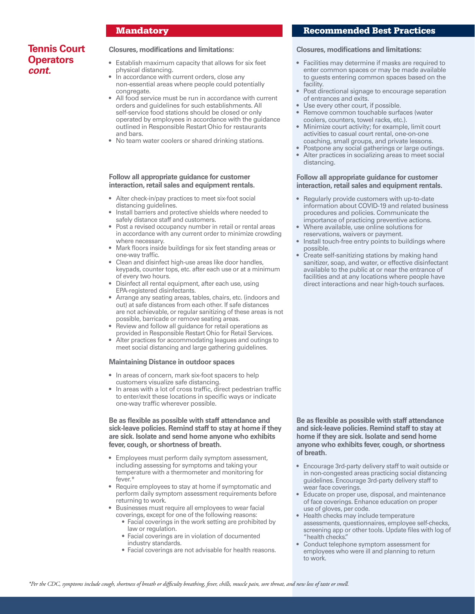# **Tennis Court Operators** *cont.*

### **Closures, modifications and limitations:**

- Establish maximum capacity that allows for six feet physical distancing.
- In accordance with current orders, close any non-essential areas where people could potentially congregate.
- All food service must be run in accordance with current orders and guidelines for such establishments. All self-service food stations should be closed or only operated by employees in accordance with the guidance outlined in Responsible Restart Ohio for restaurants and bars.
- No team water coolers or shared drinking stations.

### **Follow all appropriate guidance for customer interaction, retail sales and equipment rentals.**

- Alter check-in/pay practices to meet six-foot social distancing guidelines.
- Install barriers and protective shields where needed to safely distance staff and customers.
- Post a revised occupancy number in retail or rental areas in accordance with any current order to minimize crowding where necessary.
- Mark floors inside buildings for six feet standing areas or one-way traffic.
- Clean and disinfect high-use areas like door handles, keypads, counter tops, etc. after each use or at a minimum of every two hours.
- Disinfect all rental equipment, after each use, using EPA-registered disinfectants.
- Arrange any seating areas, tables, chairs, etc. (indoors and out) at safe distances from each other. If safe distances are not achievable, or regular sanitizing of these areas is not possible, barricade or remove seating areas.
- Review and follow all guidance for retail operations as provided in Responsible Restart Ohio for Retail Services.
- Alter practices for accommodating leagues and outings to meet social distancing and large gathering guidelines.

### **Maintaining Distance in outdoor spaces**

- In areas of concern, mark six-foot spacers to help customers visualize safe distancing.
- In areas with a lot of cross traffic, direct pedestrian traffic to enter/exit these locations in specific ways or indicate one-way traffic wherever possible.

**Be as flexible as possible with staff attendance and sick-leave policies. Remind staff to stay at home if they are sick. Isolate and send home anyone who exhibits fever, cough, or shortness of breath.**

- Employees must perform daily symptom assessment, including assessing for symptoms and taking your temperature with a thermometer and monitoring for fever.\*
- Require employees to stay at home if symptomatic and perform daily symptom assessment requirements before returning to work.
- Businesses must require all employees to wear facial coverings, except for one of the following reasons:
	- Facial coverings in the work setting are prohibited by law or regulation.
	- Facial coverings are in violation of documented industry standards.
	- Facial coverings are not advisable for health reasons.

### Mandatory Recommended Best Practices

#### **Closures, modifications and limitations:**

- Facilities may determine if masks are required to enter common spaces or may be made available to guests entering common spaces based on the facility.
- Post directional signage to encourage separation of entrances and exits.
- Use every other court, if possible.
- Remove common touchable surfaces (water coolers, counters, towel racks, etc.).
- Minimize court activity; for example, limit court activities to casual court rental, one-on-one coaching, small groups, and private lessons.
- Postpone any social gatherings or large outings.
- Alter practices in socializing areas to meet social distancing.

### **Follow all appropriate guidance for customer interaction, retail sales and equipment rentals.**

- Regularly provide customers with up-to-date information about COVID-19 and related business procedures and policies. Communicate the importance of practicing preventive actions.
- Where available, use online solutions for reservations, waivers or payment.
- Install touch-free entry points to buildings where possible.
- Create self-sanitizing stations by making hand sanitizer, soap, and water, or effective disinfectant available to the public at or near the entrance of facilities and at any locations where people have direct interactions and near high-touch surfaces.

**Be as flexible as possible with staff attendance and sick-leave policies. Remind staff to stay at home if they are sick. Isolate and send home anyone who exhibits fever, cough, or shortness of breath.** 

- Encourage 3rd-party delivery staff to wait outside or in non-congested areas practicing social distancing guidelines. Encourage 3rd-party delivery staff to wear face coverings.
- Educate on proper use, disposal, and maintenance of face coverings. Enhance education on proper use of gloves, per code.
- Health checks may include temperature assessments, questionnaires, employee self-checks, screening app or other tools. Update files with log of "health checks."
- Conduct telephone symptom assessment for employees who were ill and planning to return to work.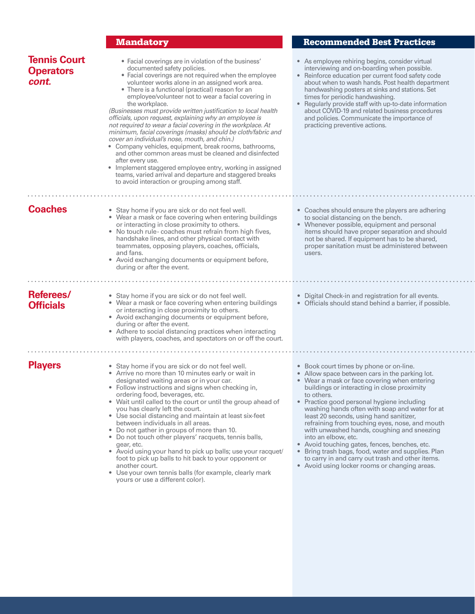# **Mandatory Recommended Best Practices**

| <b>Tennis Court</b><br><b>Operators</b><br>cont. | • Facial coverings are in violation of the business'<br>documented safety policies.<br>• Facial coverings are not required when the employee<br>volunteer works alone in an assigned work area.<br>• There is a functional (practical) reason for an<br>employee/volunteer not to wear a facial covering in<br>the workplace.<br>(Businesses must provide written justification to local health<br>officials, upon request, explaining why an employee is<br>not required to wear a facial covering in the workplace. At<br>minimum, facial coverings (masks) should be cloth/fabric and<br>cover an individual's nose, mouth, and chin.)<br>• Company vehicles, equipment, break rooms, bathrooms,<br>and other common areas must be cleaned and disinfected<br>after every use.<br>• Implement staggered employee entry, working in assigned<br>teams, varied arrival and departure and staggered breaks<br>to avoid interaction or grouping among staff. | • As employee rehiring begins, consider virtual<br>interviewing and on-boarding when possible.<br>• Reinforce education per current food safety code<br>about when to wash hands. Post health department<br>handwashing posters at sinks and stations. Set<br>times for periodic handwashing.<br>• Regularly provide staff with up-to-date information<br>about COVID-19 and related business procedures<br>and policies. Communicate the importance of<br>practicing preventive actions.                                                                                                                                                                                                       |
|--------------------------------------------------|-------------------------------------------------------------------------------------------------------------------------------------------------------------------------------------------------------------------------------------------------------------------------------------------------------------------------------------------------------------------------------------------------------------------------------------------------------------------------------------------------------------------------------------------------------------------------------------------------------------------------------------------------------------------------------------------------------------------------------------------------------------------------------------------------------------------------------------------------------------------------------------------------------------------------------------------------------------|-------------------------------------------------------------------------------------------------------------------------------------------------------------------------------------------------------------------------------------------------------------------------------------------------------------------------------------------------------------------------------------------------------------------------------------------------------------------------------------------------------------------------------------------------------------------------------------------------------------------------------------------------------------------------------------------------|
| <b>Coaches</b>                                   | • Stay home if you are sick or do not feel well.<br>• Wear a mask or face covering when entering buildings<br>or interacting in close proximity to others.<br>• No touch rule-coaches must refrain from high fives,<br>handshake lines, and other physical contact with<br>teammates, opposing players, coaches, officials,<br>and fans.<br>• Avoid exchanging documents or equipment before,<br>during or after the event.                                                                                                                                                                                                                                                                                                                                                                                                                                                                                                                                 | • Coaches should ensure the players are adhering<br>to social distancing on the bench.<br>• Whenever possible, equipment and personal<br>items should have proper separation and should<br>not be shared. If equipment has to be shared,<br>proper sanitation must be administered between<br>users.                                                                                                                                                                                                                                                                                                                                                                                            |
| Referees/<br><b>Officials</b>                    | • Stay home if you are sick or do not feel well.<br>• Wear a mask or face covering when entering buildings<br>or interacting in close proximity to others.<br>• Avoid exchanging documents or equipment before,<br>during or after the event.<br>• Adhere to social distancing practices when interacting<br>with players, coaches, and spectators on or off the court.                                                                                                                                                                                                                                                                                                                                                                                                                                                                                                                                                                                     | • Digital Check-in and registration for all events.<br>• Officials should stand behind a barrier, if possible.                                                                                                                                                                                                                                                                                                                                                                                                                                                                                                                                                                                  |
| <b>Players</b>                                   | • Stay home if you are sick or do not feel well.<br>• Arrive no more than 10 minutes early or wait in<br>designated waiting areas or in your car.<br>• Follow instructions and signs when checking in,<br>ordering food, beverages, etc.<br>• Wait until called to the court or until the group ahead of<br>you has clearly left the court.<br>• Use social distancing and maintain at least six-feet<br>between individuals in all areas.<br>• Do not gather in groups of more than 10.<br>• Do not touch other players' racquets, tennis balls,<br>gear, etc.<br>• Avoid using your hand to pick up balls; use your racquet/<br>foot to pick up balls to hit back to your opponent or<br>another court.<br>• Use your own tennis balls (for example, clearly mark<br>yours or use a different color).                                                                                                                                                     | • Book court times by phone or on-line.<br>• Allow space between cars in the parking lot.<br>• Wear a mask or face covering when entering<br>buildings or interacting in close proximity<br>to others.<br>• Practice good personal hygiene including<br>washing hands often with soap and water for at<br>least 20 seconds, using hand sanitizer,<br>refraining from touching eyes, nose, and mouth<br>with unwashed hands, coughing and sneezing<br>into an elbow, etc.<br>• Avoid touching gates, fences, benches, etc.<br>Bring trash bags, food, water and supplies. Plan<br>$\bullet$<br>to carry in and carry out trash and other items.<br>• Avoid using locker rooms or changing areas. |